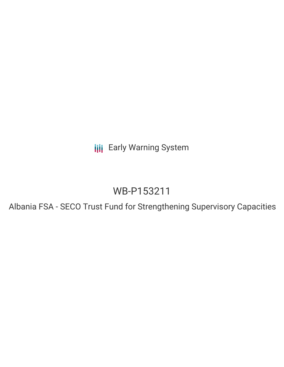**III** Early Warning System

# WB-P153211

Albania FSA - SECO Trust Fund for Strengthening Supervisory Capacities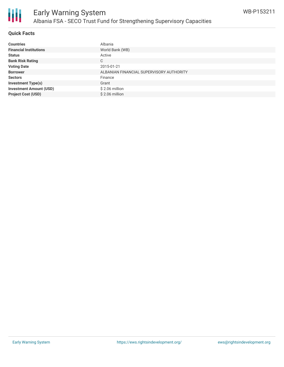

#### **Quick Facts**

| <b>Countries</b>               | Albania                                  |
|--------------------------------|------------------------------------------|
| <b>Financial Institutions</b>  | World Bank (WB)                          |
| <b>Status</b>                  | Active                                   |
| <b>Bank Risk Rating</b>        | С                                        |
| <b>Voting Date</b>             | 2015-01-21                               |
| <b>Borrower</b>                | ALBANIAN FINANCIAL SUPERVISORY AUTHORITY |
| <b>Sectors</b>                 | Finance                                  |
| <b>Investment Type(s)</b>      | Grant                                    |
| <b>Investment Amount (USD)</b> | $$2.06$ million                          |
| <b>Project Cost (USD)</b>      | $$2.06$ million                          |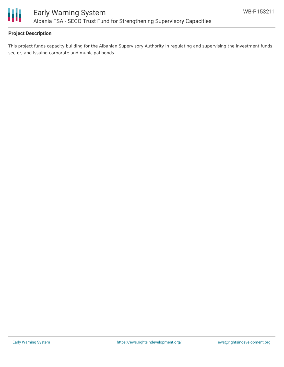

### **Project Description**

This project funds capacity building for the Albanian Supervisory Authority in regulating and supervising the investment funds sector, and issuing corporate and municipal bonds.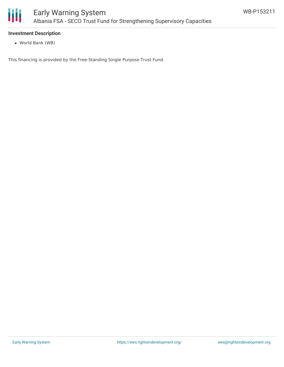

#### **Investment Description**

World Bank (WB)

This financing is provided by the Free-Standing Single Purpose Trust Fund.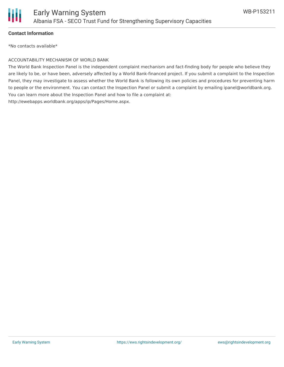

#### **Contact Information**

\*No contacts available\*

#### ACCOUNTABILITY MECHANISM OF WORLD BANK

The World Bank Inspection Panel is the independent complaint mechanism and fact-finding body for people who believe they are likely to be, or have been, adversely affected by a World Bank-financed project. If you submit a complaint to the Inspection Panel, they may investigate to assess whether the World Bank is following its own policies and procedures for preventing harm to people or the environment. You can contact the Inspection Panel or submit a complaint by emailing ipanel@worldbank.org. You can learn more about the Inspection Panel and how to file a complaint at: http://ewebapps.worldbank.org/apps/ip/Pages/Home.aspx.